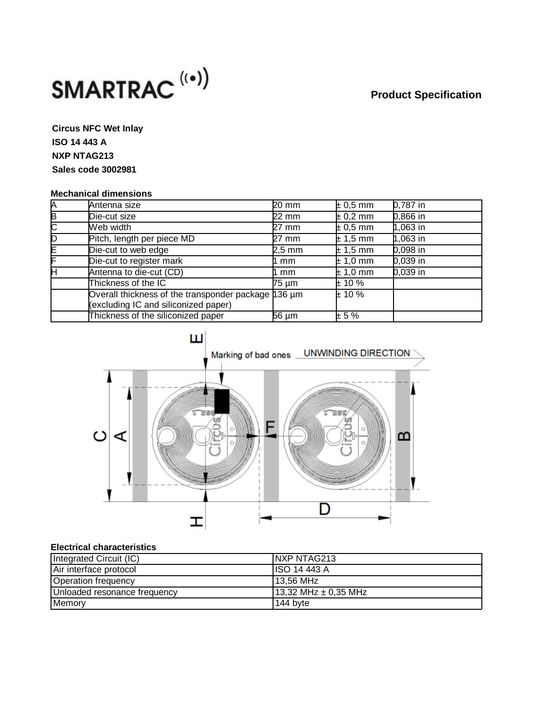# **Product Specification**



**Circus NFC Wet Inlay ISO 14 443 A NXP NTAG213 Sales code 3002981**

### **Mechanical dimensions**

| А | Antenna size                                                                                | $20 \text{ mm}$ | $\pm 0.5$ mm | $0,787$ in |
|---|---------------------------------------------------------------------------------------------|-----------------|--------------|------------|
| E | Die-cut size                                                                                | $22 \text{ mm}$ | $\pm 0.2$ mm | $0,866$ in |
| C | Web width                                                                                   | 27 mm           | $\pm 0.5$ mm | $1,063$ in |
| Б | Pitch, length per piece MD                                                                  | 27 mm           | $\pm 1,5$ mm | $1,063$ in |
| E | Die-cut to web edge                                                                         | 2,5 mm          | $\pm$ 1,5 mm | $0,098$ in |
| F | Die-cut to register mark                                                                    | mm              | $\pm$ 1,0 mm | $0,039$ in |
| н | Antenna to die-cut (CD)                                                                     | l mm            | $\pm$ 1,0 mm | $0,039$ in |
|   | Thickness of the IC                                                                         | 75 µm           | $\pm$ 10 %   |            |
|   | Overall thickness of the transponder package 136 um<br>(excluding IC and siliconized paper) |                 | $\pm$ 10 %   |            |
|   | Thickness of the siliconized paper                                                          | $56 \mu m$      | ± 5%         |            |



### **Electrical characteristics**

| Integrated Circuit (IC)      | INXP NTAG213         |
|------------------------------|----------------------|
| Air interface protocol       | ISO 14 443 A         |
| Operation frequency          | 13,56 MHz            |
| Unloaded resonance frequency | 13,32 MHz ± 0,35 MHz |
| Memory                       | 144 byte             |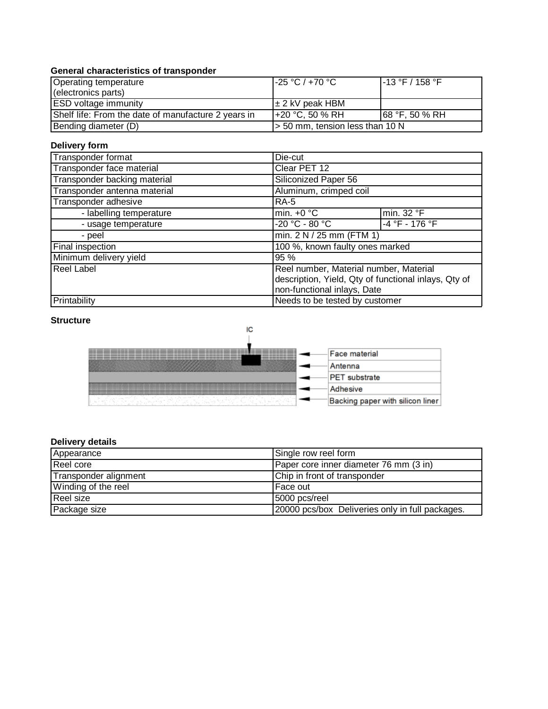## **General characteristics of transponder**

| Operating temperature                               | l-25 °C / +70 °C .              | $1-13$ °F / 158 °F |
|-----------------------------------------------------|---------------------------------|--------------------|
| (electronics parts)                                 |                                 |                    |
| <b>ESD</b> voltage immunity                         | l± 2 kV peak HBM                |                    |
| Shelf life: From the date of manufacture 2 years in | l+20 °C. 50 % RH                | $168$ °F, 50 % RH  |
| Bending diameter (D)                                | > 50 mm, tension less than 10 N |                    |

## **Delivery form**

| Transponder format           | Die-cut                                              |                |  |
|------------------------------|------------------------------------------------------|----------------|--|
| Transponder face material    | Clear PET 12                                         |                |  |
| Transponder backing material | Siliconized Paper 56                                 |                |  |
| Transponder antenna material | Aluminum, crimped coil                               |                |  |
| Transponder adhesive         | <b>RA-5</b>                                          |                |  |
| - labelling temperature      | min. $+0$ °C                                         | min. 32 °F     |  |
| - usage temperature          | -20 °C - 80 °C                                       | -4 °F - 176 °F |  |
| - peel                       | min. $2 N / 25$ mm (FTM 1)                           |                |  |
| Final inspection             | 100 %, known faulty ones marked                      |                |  |
| Minimum delivery yield       | 95 %                                                 |                |  |
| <b>Reel Label</b>            | Reel number, Material number, Material               |                |  |
|                              | description, Yield, Qty of functional inlays, Qty of |                |  |
|                              | non-functional inlays, Date                          |                |  |
| Printability                 | Needs to be tested by customer                       |                |  |

### **Structure**



# **Delivery details**

| Appearance            | Single row reel form                            |
|-----------------------|-------------------------------------------------|
| Reel core             | Paper core inner diameter 76 mm (3 in)          |
| Transponder alignment | Chip in front of transponder                    |
| Winding of the reel   | l Face out                                      |
| Reel size             | 5000 pcs/reel                                   |
| Package size          | 20000 pcs/box Deliveries only in full packages. |